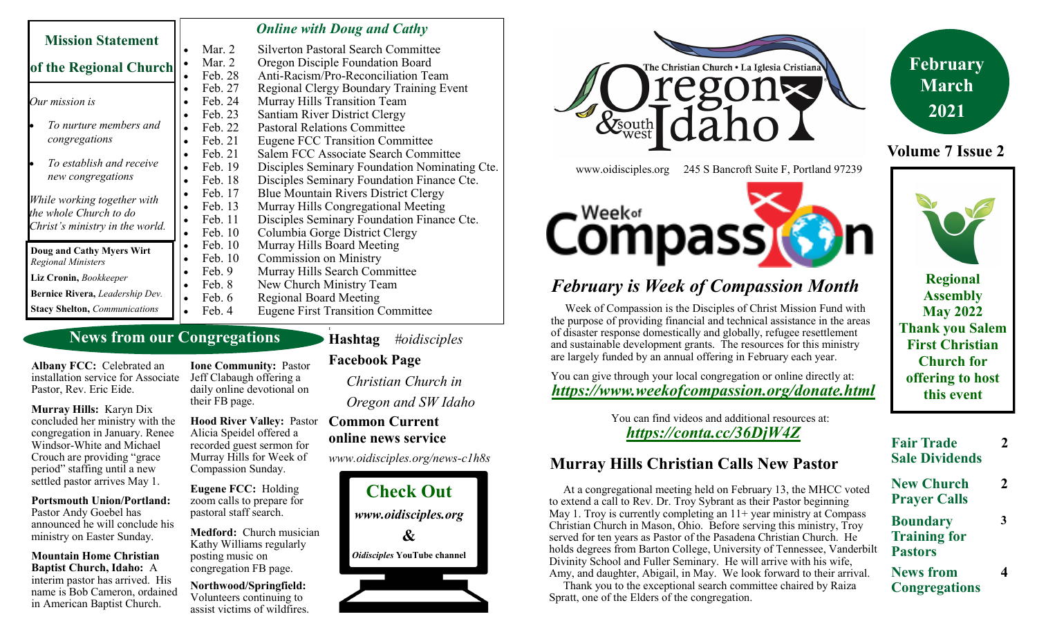| <b>Mission Statement</b>                                                                 |                      | <b>Online with Doug and Cathy</b>             |
|------------------------------------------------------------------------------------------|----------------------|-----------------------------------------------|
|                                                                                          | Mar. 2               | <b>Silverton Pastoral Search Committee</b>    |
| of the Regional Church                                                                   | Mar. 2<br>$\bullet$  | Oregon Disciple Foundation Board              |
|                                                                                          | Feb. 28              | Anti-Racism/Pro-Reconciliation Team           |
| Our mission is                                                                           | Feb. 27<br>$\bullet$ | Regional Clergy Boundary Training Event       |
|                                                                                          | Feb. 24<br>$\bullet$ | Murray Hills Transition Team                  |
|                                                                                          | Feb. 23<br>$\bullet$ | Santiam River District Clergy                 |
| To nurture members and                                                                   | Feb. 22<br>$\bullet$ | <b>Pastoral Relations Committee</b>           |
| congregations                                                                            | Feb. 21<br>$\bullet$ | <b>Eugene FCC Transition Committee</b>        |
| To establish and receive<br>new congregations                                            | Feb. 21<br>$\bullet$ | Salem FCC Associate Search Committee          |
|                                                                                          | Feb. 19              | Disciples Seminary Foundation Nominating Cte. |
|                                                                                          | Feb. 18<br>$\bullet$ | Disciples Seminary Foundation Finance Cte.    |
| While working together with<br>the whole Church to do<br>Christ's ministry in the world. | Feb. 17<br>$\bullet$ | <b>Blue Mountain Rivers District Clergy</b>   |
|                                                                                          | Feb. 13              | Murray Hills Congregational Meeting           |
|                                                                                          | Feb. 11<br>$\bullet$ | Disciples Seminary Foundation Finance Cte.    |
|                                                                                          | Feb. 10<br>$\bullet$ | Columbia Gorge District Clergy                |
| Doug and Cathy Myers Wirt<br><b>Regional Ministers</b>                                   | Feb. 10<br>$\bullet$ | Murray Hills Board Meeting                    |
|                                                                                          | Feb. 10<br>$\bullet$ | <b>Commission on Ministry</b>                 |
| Liz Cronin, Bookkeeper                                                                   | Feb. 9<br>$\bullet$  | Murray Hills Search Committee                 |
|                                                                                          | Feb. 8<br>$\bullet$  | New Church Ministry Team                      |
| Bernice Rivera, Leadership Dev.                                                          | Feb. 6<br>$\bullet$  | <b>Regional Board Meeting</b>                 |
| <b>Stacy Shelton, Communications</b>                                                     | Feb. 4               | <b>Eugene First Transition Committee</b>      |

#### **News from our Congregations**

**Albany FCC:** Celebrated an installation service for Associate Pastor, Rev. Eric Eide.

**Murray Hills:** Karyn Dix concluded her ministry with the congregation in January. Renee Windsor-White and Michael Crouch are providing "grace period" staffing until a new settled pastor arrives May 1.

**Portsmouth Union/Portland:**  Pastor Andy Goebel has

announced he will conclude his ministry on Easter Sunday.

**Mountain Home Christian Baptist Church, Idaho:** A interim pastor has arrived. His name is Bob Cameron, ordained in American Baptist Church.

**Ione Community:** Pastor Jeff Clabaugh offering a daily online devotional on their FB page.

**Hood River Valley:** Pastor Alicia Speidel offered a recorded guest sermon for Murray Hills for Week of Compassion Sunday.

**Eugene FCC:** Holding zoom calls to prepare for pastoral staff search.

**Medford:** Church musician Kathy Williams regularly posting music on congregation FB page.

**Northwood/Springfield:**  Volunteers continuing to assist victims of wildfires. **Facebook Page** *Christian Church in Oregon and SW Idaho*

**Hashtag** *#oidisciples*

**1**

#### **Common Current online news service**

*www.oidisciples.org/news-c1h8s*





www.oidisciples.org 245 S Bancroft Suite F, Portland 97239

*February is Week of Compassion Month*

**Compass** 

You can give through your local congregation or online directly at: *https://www.weekofcompassion.org/donate.html*

 Week of Compassion is the Disciples of Christ Mission Fund with the purpose of providing financial and technical assistance in the areas of disaster response domestically and globally, refugee resettlement and sustainable development grants. The resources for this ministry are largely funded by an annual offering in February each year.



**Volume 7 Issue 2**

**Regional Assembly May 2022 Thank you Salem First Christian Church for offering to host this event**

 You can find videos and additional resources at: *https://conta.cc/36DjW4Z*

# **Murray Hills Christian Calls New Pastor**

 At a congregational meeting held on February 13, the MHCC voted to extend a call to Rev. Dr. Troy Sybrant as their Pastor beginning May 1. Troy is currently completing an  $11+$  year ministry at Compass Christian Church in Mason, Ohio. Before serving this ministry, Troy served for ten years as Pastor of the Pasadena Christian Church. He holds degrees from Barton College, University of Tennessee, Vanderbilt Divinity School and Fuller Seminary. He will arrive with his wife, Amy, and daughter, Abigail, in May. We look forward to their arrival.

 Thank you to the exceptional search committee chaired by Raiza Spratt, one of the Elders of the congregation.



**Fair Trade Sale Dividends 2**

**New Church Prayer Calls 2**

**3**

- **Boundary Training for Pastors**
- **News from Congregations 4**